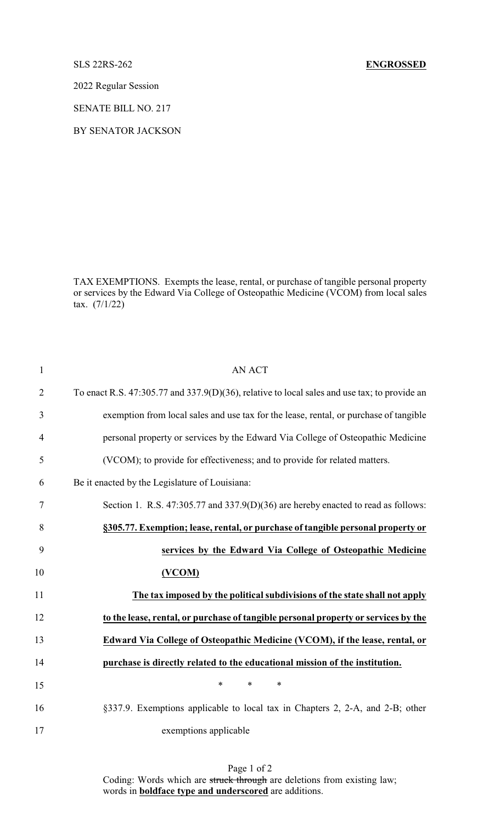## SLS 22RS-262 **ENGROSSED**

2022 Regular Session

SENATE BILL NO. 217

BY SENATOR JACKSON

TAX EXEMPTIONS. Exempts the lease, rental, or purchase of tangible personal property or services by the Edward Via College of Osteopathic Medicine (VCOM) from local sales tax. (7/1/22)

| $\mathbf{1}$   | <b>AN ACT</b>                                                                                |
|----------------|----------------------------------------------------------------------------------------------|
| $\overline{2}$ | To enact R.S. 47:305.77 and 337.9(D)(36), relative to local sales and use tax; to provide an |
| 3              | exemption from local sales and use tax for the lease, rental, or purchase of tangible        |
| $\overline{4}$ | personal property or services by the Edward Via College of Osteopathic Medicine              |
| 5              | (VCOM); to provide for effectiveness; and to provide for related matters.                    |
| 6              | Be it enacted by the Legislature of Louisiana:                                               |
| 7              | Section 1. R.S. 47:305.77 and 337.9(D)(36) are hereby enacted to read as follows:            |
| 8              | §305.77. Exemption; lease, rental, or purchase of tangible personal property or              |
| 9              | services by the Edward Via College of Osteopathic Medicine                                   |
| 10             | (VCOM)                                                                                       |
| 11             | The tax imposed by the political subdivisions of the state shall not apply                   |
| 12             | to the lease, rental, or purchase of tangible personal property or services by the           |
| 13             | Edward Via College of Osteopathic Medicine (VCOM), if the lease, rental, or                  |
| 14             | purchase is directly related to the educational mission of the institution.                  |
| 15             | $\ast$<br>$\ast$<br>$\ast$                                                                   |
| 16             | §337.9. Exemptions applicable to local tax in Chapters 2, 2-A, and 2-B; other                |
| 17             | exemptions applicable                                                                        |

Page 1 of 2 Coding: Words which are struck through are deletions from existing law; words in **boldface type and underscored** are additions.